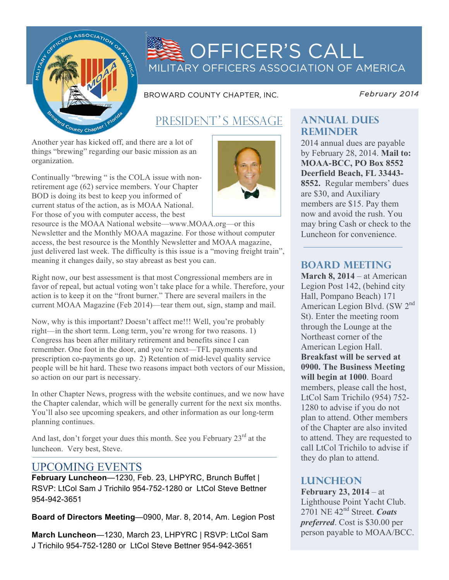

# OFFICER'S CALL MILITARY OFFICERS ASSOCIATION OF AMERICA

BROWARD COUNTY CHAPTER, INC.

*February 2014* 

# PRESIDENT'S MESSAGE

Another year has kicked off, and there are a lot of things "brewing" regarding our basic mission as an organization.

Continually "brewing " is the COLA issue with nonretirement age (62) service members. Your Chapter BOD is doing its best to keep you informed of current status of the action, as is MOAA National. For those of you with computer access, the best

resource is the MOAA National website—www.MOAA.org—or this Newsletter and the Monthly MOAA magazine. For those without computer access, the best resource is the Monthly Newsletter and MOAA magazine, just delivered last week. The difficulty is this issue is a "moving freight train", meaning it changes daily, so stay abreast as best you can.

Right now, our best assessment is that most Congressional members are in favor of repeal, but actual voting won't take place for a while. Therefore, your action is to keep it on the "front burner." There are several mailers in the current MOAA Magazine (Feb 2014)—tear them out, sign, stamp and mail.

Now, why is this important? Doesn't affect me!!! Well, you're probably right—in the short term. Long term, you're wrong for two reasons. 1) Congress has been after military retirement and benefits since I can remember. One foot in the door, and you're next—TFL payments and prescription co-payments go up. 2) Retention of mid-level quality service people will be hit hard. These two reasons impact both vectors of our Mission, so action on our part is necessary.

In other Chapter News, progress with the website continues, and we now have the Chapter calendar, which will be generally current for the next six months. You'll also see upcoming speakers, and other information as our long-term planning continues.

And last, don't forget your dues this month. See you February 23<sup>rd</sup> at the luncheon. Very best, Steve.

## UPCOMING EVENTS

**February Luncheon**—1230, Feb. 23, LHPYRC, Brunch Buffet | RSVP: LtCol Sam J Trichilo 954-752-1280 or LtCol Steve Bettner 954-942-3651

**Board of Directors Meeting**—0900, Mar. 8, 2014, Am. Legion Post

**March Luncheon**—1230, March 23, LHPYRC | RSVP: LtCol Sam J Trichilo 954-752-1280 or LtCol Steve Bettner 954-942-3651



### **Annual dues reminder**

2014 annual dues are payable by February 28, 2014. **Mail to: MOAA-BCC, PO Box 8552 Deerfield Beach, FL 33443- 8552.** Regular members' dues are \$30, and Auxiliary members are \$15. Pay them now and avoid the rush. You may bring Cash or check to the Luncheon for convenience.

### **board meeting**

**March 8, 2014** – at American Legion Post 142, (behind city Hall, Pompano Beach) 171 American Legion Blvd. (SW 2nd St). Enter the meeting room through the Lounge at the Northeast corner of the American Legion Hall. **Breakfast will be served at 0900. The Business Meeting will begin at 1000**. Board members, please call the host, LtCol Sam Trichilo (954) 752- 1280 to advise if you do not plan to attend. Other members of the Chapter are also invited to attend. They are requested to call LtCol Trichilo to advise if they do plan to attend.

### **Luncheon**

**February 23, 2014** – at Lighthouse Point Yacht Club. 2701 NE 42nd Street. *Coats preferred*. Cost is \$30.00 per person payable to MOAA/BCC.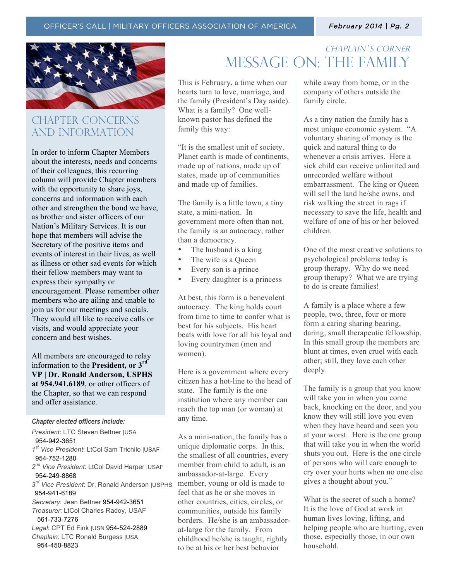

## CHAPTER CONCERNs AND INFORMATION

In order to inform Chapter Members about the interests, needs and concerns of their colleagues, this recurring column will provide Chapter members with the opportunity to share joys, concerns and information with each other and strengthen the bond we have, as brother and sister officers of our Nation's Military Services. It is our hope that members will advise the Secretary of the positive items and events of interest in their lives, as well as illness or other sad events for which their fellow members may want to express their sympathy or encouragement. Please remember other members who are ailing and unable to join us for our meetings and socials. They would all like to receive calls or visits, and would appreciate your concern and best wishes.

All members are encouraged to relay information to the **President, or 3rd VP | Dr. Ronald Anderson, USPHS at 954.941.6189**, or other officers of the Chapter, so that we can respond and offer assistance.

#### *Chapter elected officers include:*

*President*: LTC Steven Bettner |USA 954-942-3651 *1st Vice President*: LtCol Sam Trichilo |USAF 954-752-1280 *2nd Vice President*: LtCol David Harper |USAF 954-249-8868 *3rd Vice President*: Dr. Ronald Anderson |USPHS 954-941-6189 *Secretary*: Jean Bettner 954-942-3651 *Treasurer*: LtCol Charles Radoy, USAF 561-733-7276 *Legal*: CPT Ed Fink |USN 954-524-2889 *Chaplain*: LTC Ronald Burgess |USA 954-450-8823

## CHAPLAIN'S CORNER message on: the family

This is February, a time when our hearts turn to love, marriage, and the family (President's Day aside). What is a family? One wellknown pastor has defined the family this way:

"It is the smallest unit of society. Planet earth is made of continents, made up of nations, made up of states, made up of communities and made up of families.

The family is a little town, a tiny state, a mini-nation. In government more often than not, the family is an autocracy, rather than a democracy.

- The husband is a king
- The wife is a Queen
- Every son is a prince
- Every daughter is a princess

At best, this form is a benevolent autocracy. The king holds court from time to time to confer what is best for his subjects. His heart beats with love for all his loyal and loving countrymen (men and women).

Here is a government where every citizen has a hot-line to the head of state. The family is the one institution where any member can reach the top man (or woman) at any time.

As a mini-nation, the family has a unique diplomatic corps. In this, the smallest of all countries, every member from child to adult, is an ambassador-at-large. Every member, young or old is made to feel that as he or she moves in other countries, cities, circles, or communities, outside his family borders. He/she is an ambassadorat-large for the family. From childhood he/she is taught, rightly to be at his or her best behavior

while away from home, or in the company of others outside the family circle.

As a tiny nation the family has a most unique economic system. "A voluntary sharing of money is the quick and natural thing to do whenever a crisis arrives. Here a sick child can receive unlimited and unrecorded welfare without embarrassment. The king or Queen will sell the land he/she owns, and risk walking the street in rags if necessary to save the life, health and welfare of one of his or her beloved children.

One of the most creative solutions to psychological problems today is group therapy. Why do we need group therapy? What we are trying to do is create families!

A family is a place where a few people, two, three, four or more form a caring sharing bearing, daring, small therapeutic fellowship. In this small group the members are blunt at times, even cruel with each other; still, they love each other deeply.

The family is a group that you know will take you in when you come back, knocking on the door, and you know they will still love you even when they have heard and seen you at your worst. Here is the one group that will take you in when the world shuts you out. Here is the one circle of persons who will care enough to cry over your hurts when no one else gives a thought about you."

What is the secret of such a home? It is the love of God at work in human lives loving, lifting, and helping people who are hurting, even those, especially those, in our own household.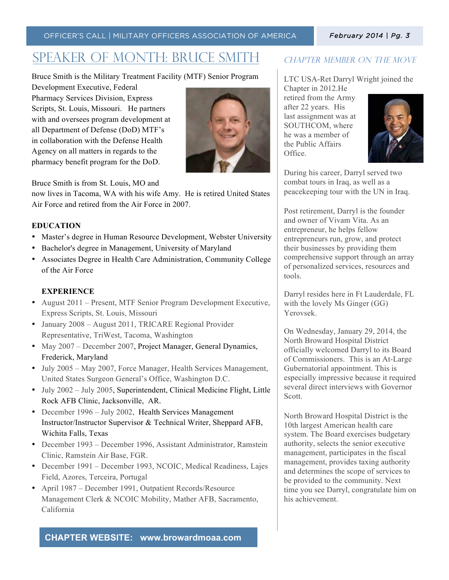#### OFFICER'S CALL | MILITARY OFFICERS ASSOCIATION OF AMERICA

#### *February 2014 | Pg. 3*

## Speaker of month: Bruce Smith

Bruce Smith is the Military Treatment Facility (MTF) Senior Program

Development Executive, Federal Pharmacy Services Division, Express Scripts, St. Louis, Missouri. He partners with and oversees program development at all Department of Defense (DoD) MTF's in collaboration with the Defense Health Agency on all matters in regards to the pharmacy benefit program for the DoD.



Bruce Smith is from St. Louis, MO and

now lives in Tacoma, WA with his wife Amy. He is retired United States Air Force and retired from the Air Force in 2007.

#### **EDUCATION**

- Master's degree in Human Resource Development, Webster University
- Bachelor's degree in Management, University of Maryland
- Associates Degree in Health Care Administration, Community College of the Air Force

#### **EXPERIENCE**

- August 2011 Present, MTF Senior Program Development Executive, Express Scripts, St. Louis, Missouri
- January 2008 August 2011, TRICARE Regional Provider Representative, TriWest, Tacoma, Washington
- May 2007 December 2007, Project Manager, General Dynamics, Frederick, Maryland
- July 2005 May 2007, Force Manager, Health Services Management, United States Surgeon General's Office, Washington D.C.
- July 2002 July 2005, Superintendent, Clinical Medicine Flight, Little Rock AFB Clinic, Jacksonville, AR.
- December 1996 July 2002, Health Services Management Instructor/Instructor Supervisor & Technical Writer, Sheppard AFB, Wichita Falls, Texas
- December 1993 December 1996, Assistant Administrator, Ramstein Clinic, Ramstein Air Base, FGR.
- December 1991 December 1993, NCOIC, Medical Readiness, Lajes Field, Azores, Terceira, Portugal
- April 1987 December 1991, Outpatient Records/Resource Management Clerk & NCOIC Mobility, Mather AFB, Sacramento, California

#### **CHAPTER WEBSITE: www.browardmoaa.com**

### CHAPTER MEMBER ON THE MOVE

LTC USA-Ret Darryl Wright joined the

Chapter in 2012.He retired from the Army after 22 years. His last assignment was at SOUTHCOM, where he was a member of the Public Affairs Office.

![](_page_2_Picture_26.jpeg)

During his career, Darryl served two combat tours in Iraq, as well as a peacekeeping tour with the UN in Iraq.

Post retirement, Darryl is the founder and owner of Vivam Vita. As an entrepreneur, he helps fellow entrepreneurs run, grow, and protect their businesses by providing them comprehensive support through an array of personalized services, resources and tools.

Darryl resides here in Ft Lauderdale, FL with the lovely Ms Ginger (GG) Yerovsek.

On Wednesday, January 29, 2014, the North Broward Hospital District officially welcomed Darryl to its Board of Commissioners. This is an At-Large Gubernatorial appointment. This is especially impressive because it required several direct interviews with Governor Scott.

North Broward Hospital District is the 10th largest American health care system. The Board exercises budgetary authority, selects the senior executive management, participates in the fiscal management, provides taxing authority and determines the scope of services to be provided to the community. Next time you see Darryl, congratulate him on his achievement.